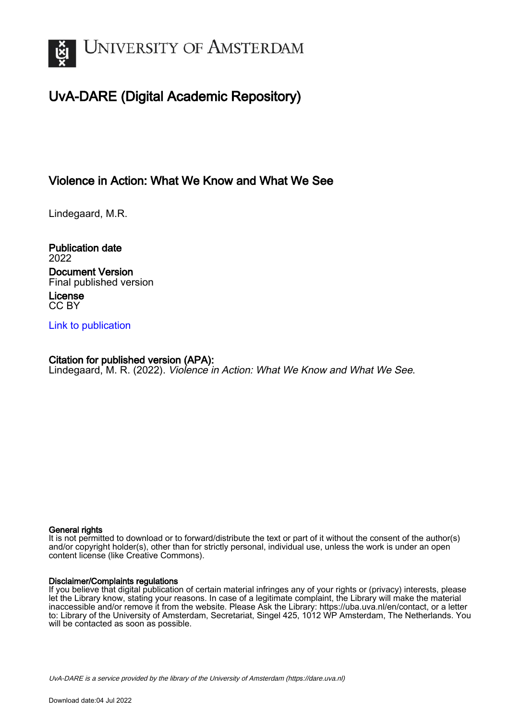

# UvA-DARE (Digital Academic Repository)

### Violence in Action: What We Know and What We See

Lindegaard, M.R.

Publication date 2022 Document Version Final published version License CC BY

[Link to publication](https://dare.uva.nl/personal/pure/en/publications/violence-in-action-what-we-know-and-what-we-see(27532458-1796-406a-8938-fdb886d93149).html)

Citation for published version (APA): Lindegaard, M. R. (2022). Violence in Action: What We Know and What We See.

#### General rights

It is not permitted to download or to forward/distribute the text or part of it without the consent of the author(s) and/or copyright holder(s), other than for strictly personal, individual use, unless the work is under an open content license (like Creative Commons).

#### Disclaimer/Complaints regulations

If you believe that digital publication of certain material infringes any of your rights or (privacy) interests, please let the Library know, stating your reasons. In case of a legitimate complaint, the Library will make the material inaccessible and/or remove it from the website. Please Ask the Library: https://uba.uva.nl/en/contact, or a letter to: Library of the University of Amsterdam, Secretariat, Singel 425, 1012 WP Amsterdam, The Netherlands. You will be contacted as soon as possible.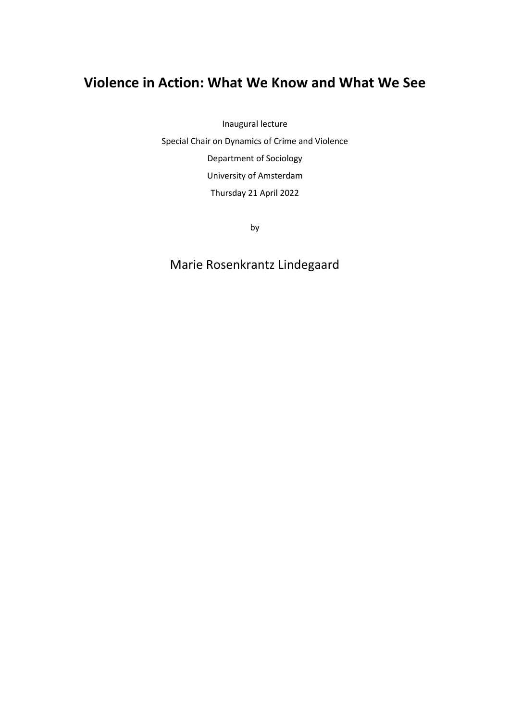# **Violence in Action: What We Know and What We See**

Inaugural lecture

Special Chair on Dynamics of Crime and Violence Department of Sociology University of Amsterdam Thursday 21 April 2022

by

# Marie Rosenkrantz Lindegaard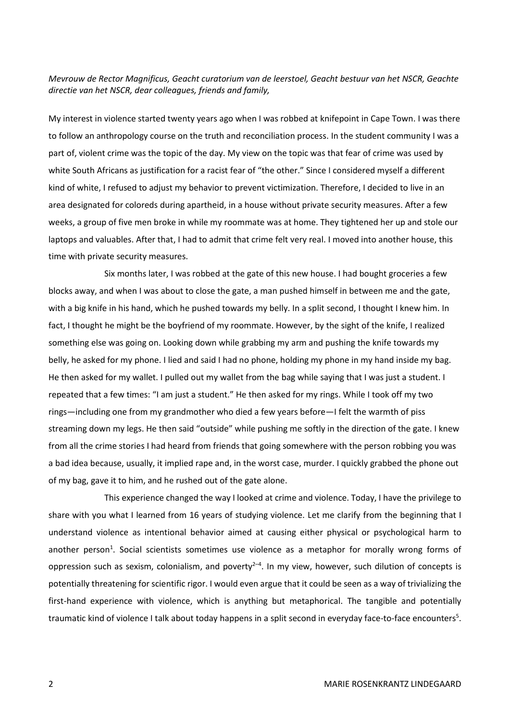#### *Mevrouw de Rector Magnificus, Geacht curatorium van de leerstoel, Geacht bestuur van het NSCR, Geachte directie van het NSCR, dear colleagues, friends and family,*

My interest in violence started twenty years ago when I was robbed at knifepoint in Cape Town. I was there to follow an anthropology course on the truth and reconciliation process. In the student community I was a part of, violent crime was the topic of the day. My view on the topic was that fear of crime was used by white South Africans as justification for a racist fear of "the other." Since I considered myself a different kind of white, I refused to adjust my behavior to prevent victimization. Therefore, I decided to live in an area designated for coloreds during apartheid, in a house without private security measures. After a few weeks, a group of five men broke in while my roommate was at home. They tightened her up and stole our laptops and valuables. After that, I had to admit that crime felt very real. I moved into another house, this time with private security measures.

Six months later, I was robbed at the gate of this new house. I had bought groceries a few blocks away, and when I was about to close the gate, a man pushed himself in between me and the gate, with a big knife in his hand, which he pushed towards my belly. In a split second, I thought I knew him. In fact, I thought he might be the boyfriend of my roommate. However, by the sight of the knife, I realized something else was going on. Looking down while grabbing my arm and pushing the knife towards my belly, he asked for my phone. I lied and said I had no phone, holding my phone in my hand inside my bag. He then asked for my wallet. I pulled out my wallet from the bag while saying that I was just a student. I repeated that a few times: "I am just a student." He then asked for my rings. While I took off my two rings—including one from my grandmother who died a few years before—I felt the warmth of piss streaming down my legs. He then said "outside" while pushing me softly in the direction of the gate. I knew from all the crime stories I had heard from friends that going somewhere with the person robbing you was a bad idea because, usually, it implied rape and, in the worst case, murder. I quickly grabbed the phone out of my bag, gave it to him, and he rushed out of the gate alone.

This experience changed the way I looked at crime and violence. Today, I have the privilege to share with you what I learned from 16 years of studying violence. Let me clarify from the beginning that I understand violence as intentional behavior aimed at causing either physical or psychological harm to another person<sup>1</sup>. Social scientists sometimes use violence as a metaphor for morally wrong forms of oppression such as sexism, colonialism, and poverty<sup>2-4</sup>. In my view, however, such dilution of concepts is potentially threatening for scientific rigor. I would even argue that it could be seen as a way of trivializing the first-hand experience with violence, which is anything but metaphorical. The tangible and potentially traumatic kind of violence I talk about today happens in a split second in everyday face-to-face encounters<sup>5</sup>.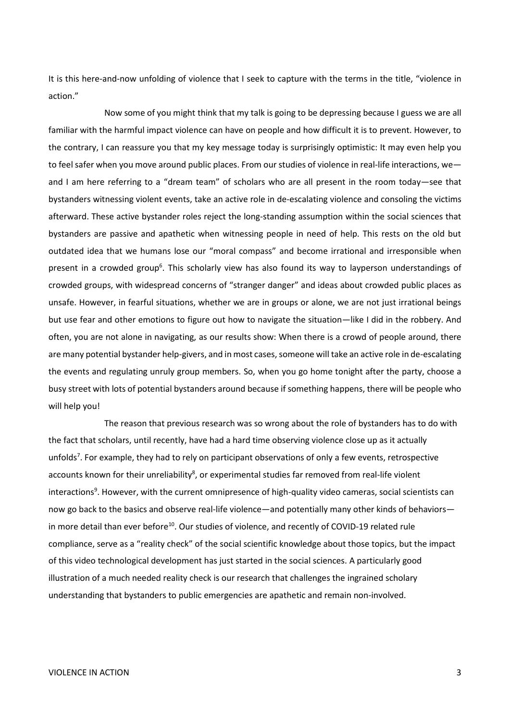It is this here-and-now unfolding of violence that I seek to capture with the terms in the title, "violence in action."

Now some of you might think that my talk is going to be depressing because I guess we are all familiar with the harmful impact violence can have on people and how difficult it is to prevent. However, to the contrary, I can reassure you that my key message today is surprisingly optimistic: It may even help you to feel safer when you move around public places. From our studies of violence in real-life interactions, we and I am here referring to a "dream team" of scholars who are all present in the room today—see that bystanders witnessing violent events, take an active role in de-escalating violence and consoling the victims afterward. These active bystander roles reject the long-standing assumption within the social sciences that bystanders are passive and apathetic when witnessing people in need of help. This rests on the old but outdated idea that we humans lose our "moral compass" and become irrational and irresponsible when present in a crowded group<sup>6</sup>. This scholarly view has also found its way to layperson understandings of crowded groups, with widespread concerns of "stranger danger" and ideas about crowded public places as unsafe. However, in fearful situations, whether we are in groups or alone, we are not just irrational beings but use fear and other emotions to figure out how to navigate the situation—like I did in the robbery. And often, you are not alone in navigating, as our results show: When there is a crowd of people around, there are many potential bystander help-givers, and in most cases, someone will take an active role in de-escalating the events and regulating unruly group members. So, when you go home tonight after the party, choose a busy street with lots of potential bystanders around because if something happens, there will be people who will help you!

The reason that previous research was so wrong about the role of bystanders has to do with the fact that scholars, until recently, have had a hard time observing violence close up as it actually unfolds<sup>7</sup>. For example, they had to rely on participant observations of only a few events, retrospective accounts known for their unreliability<sup>8</sup>, or experimental studies far removed from real-life violent interactions<sup>9</sup>. However, with the current omnipresence of high-quality video cameras, social scientists can now go back to the basics and observe real-life violence—and potentially many other kinds of behaviors in more detail than ever before<sup>10</sup>. Our studies of violence, and recently of COVID-19 related rule compliance, serve as a "reality check" of the social scientific knowledge about those topics, but the impact of this video technological development has just started in the social sciences. A particularly good illustration of a much needed reality check is our research that challenges the ingrained scholary understanding that bystanders to public emergencies are apathetic and remain non-involved.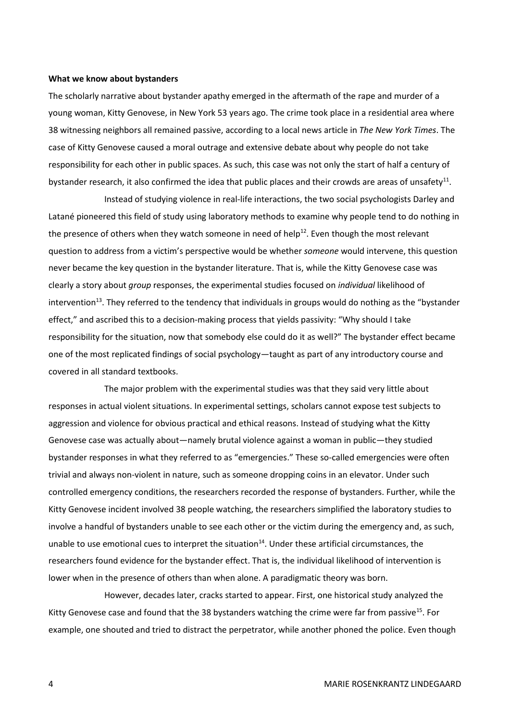#### **What we know about bystanders**

The scholarly narrative about bystander apathy emerged in the aftermath of the rape and murder of a young woman, Kitty Genovese, in New York 53 years ago. The crime took place in a residential area where 38 witnessing neighbors all remained passive, according to a local news article in *The New York Times*. The case of Kitty Genovese caused a moral outrage and extensive debate about why people do not take responsibility for each other in public spaces. As such, this case was not only the start of half a century of bystander research, it also confirmed the idea that public places and their crowds are areas of unsafety<sup>11</sup>.

Instead of studying violence in real-life interactions, the two social psychologists Darley and Latané pioneered this field of study using laboratory methods to examine why people tend to do nothing in the presence of others when they watch someone in need of help<sup>12</sup>. Even though the most relevant question to address from a victim's perspective would be whether *someone* would intervene, this question never became the key question in the bystander literature. That is, while the Kitty Genovese case was clearly a story about *group* responses, the experimental studies focused on *individual* likelihood of intervention<sup>13</sup>. They referred to the tendency that individuals in groups would do nothing as the "bystander effect," and ascribed this to a decision-making process that yields passivity: "Why should I take responsibility for the situation, now that somebody else could do it as well?" The bystander effect became one of the most replicated findings of social psychology—taught as part of any introductory course and covered in all standard textbooks.

The major problem with the experimental studies was that they said very little about responses in actual violent situations. In experimental settings, scholars cannot expose test subjects to aggression and violence for obvious practical and ethical reasons. Instead of studying what the Kitty Genovese case was actually about—namely brutal violence against a woman in public—they studied bystander responses in what they referred to as "emergencies." These so-called emergencies were often trivial and always non-violent in nature, such as someone dropping coins in an elevator. Under such controlled emergency conditions, the researchers recorded the response of bystanders. Further, while the Kitty Genovese incident involved 38 people watching, the researchers simplified the laboratory studies to involve a handful of bystanders unable to see each other or the victim during the emergency and, as such, unable to use emotional cues to interpret the situation<sup>14</sup>. Under these artificial circumstances, the researchers found evidence for the bystander effect. That is, the individual likelihood of intervention is lower when in the presence of others than when alone. A paradigmatic theory was born.

However, decades later, cracks started to appear. First, one historical study analyzed the Kitty Genovese case and found that the 38 bystanders watching the crime were far from passive<sup>15</sup>. For example, one shouted and tried to distract the perpetrator, while another phoned the police. Even though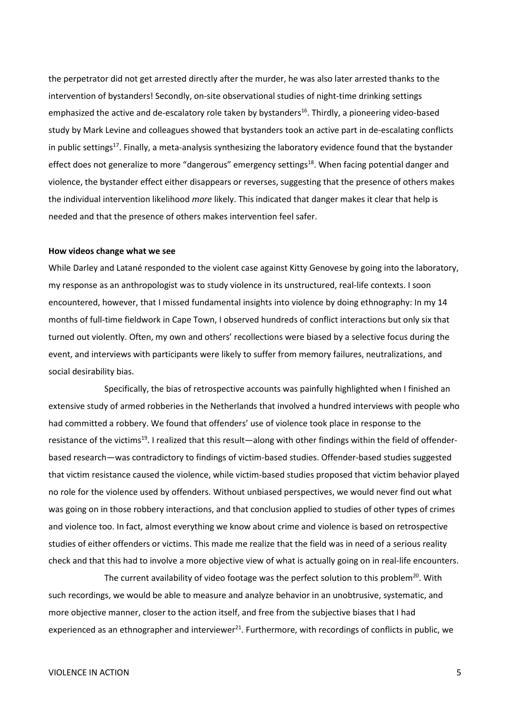the perpetrator did not get arrested directly after the murder, he was also later arrested thanks to the intervention of bystanders! Secondly, on-site observational studies of night-time drinking settings emphasized the active and de-escalatory role taken by bystanders<sup>16</sup>. Thirdly, a pioneering video-based study by Mark Levine and colleagues showed that bystanders took an active part in de-escalating conflicts in public settings<sup>17</sup>. Finally, a meta-analysis synthesizing the laboratory evidence found that the bystander effect does not generalize to more "dangerous" emergency settings<sup>18</sup>. When facing potential danger and violence, the bystander effect either disappears or reverses, suggesting that the presence of others makes the individual intervention likelihood *more* likely. This indicated that danger makes it clear that help is needed and that the presence of others makes intervention feel safer.

#### **How videos change what we see**

While Darley and Latané responded to the violent case against Kitty Genovese by going into the laboratory, my response as an anthropologist was to study violence in its unstructured, real-life contexts. I soon encountered, however, that I missed fundamental insights into violence by doing ethnography: In my 14 months of full-time fieldwork in Cape Town, I observed hundreds of conflict interactions but only six that turned out violently. Often, my own and others' recollections were biased by a selective focus during the event, and interviews with participants were likely to suffer from memory failures, neutralizations, and social desirability bias.

Specifically, the bias of retrospective accounts was painfully highlighted when I finished an extensive study of armed robberies in the Netherlands that involved a hundred interviews with people who had committed a robbery. We found that offenders' use of violence took place in response to the resistance of the victims<sup>19</sup>. I realized that this result—along with other findings within the field of offenderbased research—was contradictory to findings of victim-based studies. Offender-based studies suggested that victim resistance caused the violence, while victim-based studies proposed that victim behavior played no role for the violence used by offenders. Without unbiased perspectives, we would never find out what was going on in those robbery interactions, and that conclusion applied to studies of other types of crimes and violence too. In fact, almost everything we know about crime and violence is based on retrospective studies of either offenders or victims. This made me realize that the field was in need of a serious reality check and that this had to involve a more objective view of what is actually going on in real-life encounters.

The current availability of video footage was the perfect solution to this problem<sup>20</sup>. With such recordings, we would be able to measure and analyze behavior in an unobtrusive, systematic, and more objective manner, closer to the action itself, and free from the subjective biases that I had experienced as an ethnographer and interviewer $^{21}$ . Furthermore, with recordings of conflicts in public, we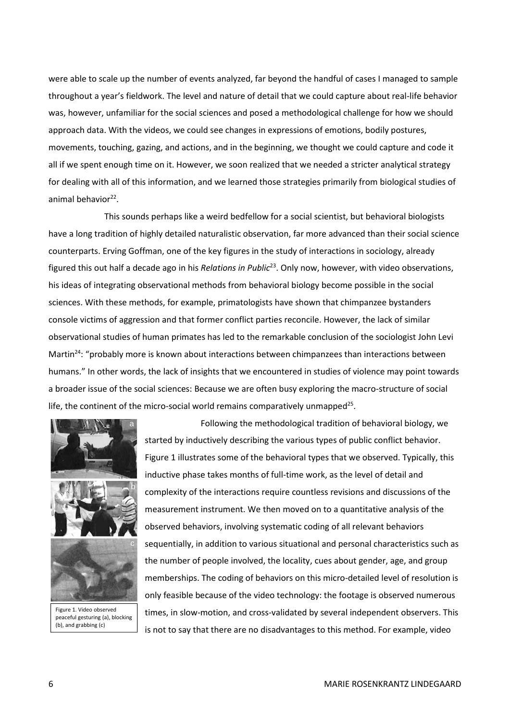were able to scale up the number of events analyzed, far beyond the handful of cases I managed to sample throughout a year's fieldwork. The level and nature of detail that we could capture about real-life behavior was, however, unfamiliar for the social sciences and posed a methodological challenge for how we should approach data. With the videos, we could see changes in expressions of emotions, bodily postures, movements, touching, gazing, and actions, and in the beginning, we thought we could capture and code it all if we spent enough time on it. However, we soon realized that we needed a stricter analytical strategy for dealing with all of this information, and we learned those strategies primarily from biological studies of animal behavior<sup>22</sup>.

This sounds perhaps like a weird bedfellow for a social scientist, but behavioral biologists have a long tradition of highly detailed naturalistic observation, far more advanced than their social science counterparts. Erving Goffman, one of the key figures in the study of interactions in sociology, already figured this out half a decade ago in his *Relations in Public*<sup>23</sup> . Only now, however, with video observations, his ideas of integrating observational methods from behavioral biology become possible in the social sciences. With these methods, for example, primatologists have shown that chimpanzee bystanders console victims of aggression and that former conflict parties reconcile. However, the lack of similar observational studies of human primates has led to the remarkable conclusion of the sociologist John Levi Martin<sup>24</sup>: "probably more is known about interactions between chimpanzees than interactions between humans." In other words, the lack of insights that we encountered in studies of violence may point towards a broader issue of the social sciences: Because we are often busy exploring the macro-structure of social life, the continent of the micro-social world remains comparatively unmapped<sup>25</sup>.



peaceful gesturing (a), blocking (b), and grabbing (c)

Following the methodological tradition of behavioral biology, we started by inductively describing the various types of public conflict behavior. Figure 1 illustrates some of the behavioral types that we observed. Typically, this inductive phase takes months of full-time work, as the level of detail and complexity of the interactions require countless revisions and discussions of the measurement instrument. We then moved on to a quantitative analysis of the observed behaviors, involving systematic coding of all relevant behaviors sequentially, in addition to various situational and personal characteristics such as the number of people involved, the locality, cues about gender, age, and group memberships. The coding of behaviors on this micro-detailed level of resolution is only feasible because of the video technology: the footage is observed numerous times, in slow-motion, and cross-validated by several independent observers. This is on and that former conflict parties reconcile. However, the lack of similar<br>
numan primates has led to the remarkable conclusion of the sociologist John Levi<br>
is is known about interactions between chimpanzees than inte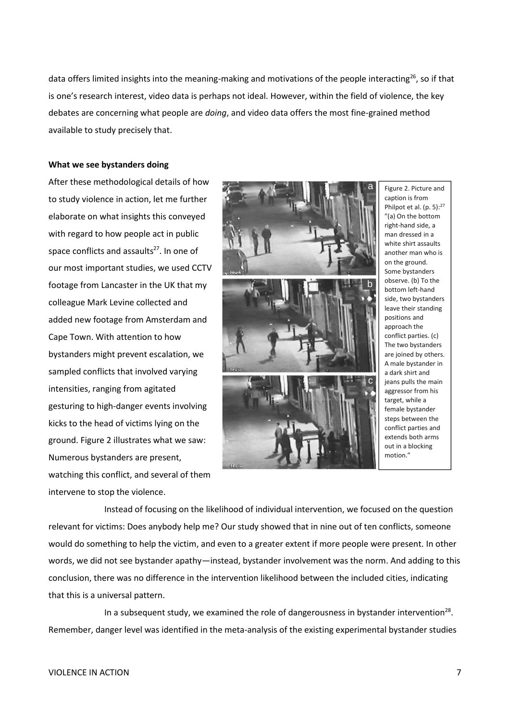data offers limited insights into the meaning-making and motivations of the people interacting<sup>26</sup>, so if that is one's research interest, video data is perhaps not ideal. However, within the field of violence, the key debates are concerning what people are *doing*, and video data offers the most fine-grained method available to study precisely that.

#### **What we see bystanders doing**

After these methodological details of how to study violence in action, let me further elaborate on what insights this conveyed with regard to how people act in public space conflicts and assaults<sup>27</sup>. In one of our most important studies, we used CCTV footage from Lancaster in the UK that my colleague Mark Levine collected and added new footage from Amsterdam and Cape Town. With attention to how bystanders might prevent escalation, we sampled conflicts that involved varying intensities, ranging from agitated gesturing to high-danger events involving kicks to the head of victims lying on the ground. Figure 2 illustrates what we saw: Numerous bystanders are present, watching this conflict, and several of them intervene to stop the violence.



Figure 2. Picture and caption is from Philpot et al. (p. 5):<sup>27</sup> "(a) On the bottom right-hand side, a man dressed in a white shirt assaults another man who is on the ground. Some bystanders observe. (b) To the bottom left-hand side, two bystanders leave their standing positions and approach the conflict parties. (c) The two bystanders are joined by others. A male bystander in a dark shirt and jeans pulls the main aggressor from his target, while a female bystander steps between the conflict parties and extends both arms out in a blocking motion."

Instead of focusing on the likelihood of individual intervention, we focused on the question relevant for victims: Does anybody help me? Our study showed that in nine out of ten conflicts, someone would do something to help the victim, and even to a greater extent if more people were present. In other words, we did not see bystander apathy—instead, bystander involvement was the norm. And adding to this conclusion, there was no difference in the intervention likelihood between the included cities, indicating that this is a universal pattern.

In a subsequent study, we examined the role of dangerousness in bystander intervention<sup>28</sup>. Remember, danger level was identified in the meta-analysis of the existing experimental bystander studies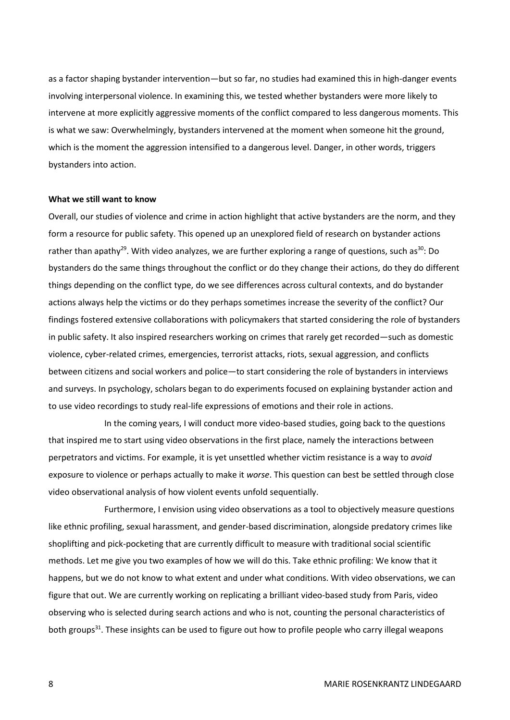as a factor shaping bystander intervention—but so far, no studies had examined this in high-danger events involving interpersonal violence. In examining this, we tested whether bystanders were more likely to intervene at more explicitly aggressive moments of the conflict compared to less dangerous moments. This is what we saw: Overwhelmingly, bystanders intervened at the moment when someone hit the ground, which is the moment the aggression intensified to a dangerous level. Danger, in other words, triggers bystanders into action.

#### **What we still want to know**

Overall, our studies of violence and crime in action highlight that active bystanders are the norm, and they form a resource for public safety. This opened up an unexplored field of research on bystander actions rather than apathy<sup>29</sup>. With video analyzes, we are further exploring a range of questions, such as<sup>30</sup>: Do bystanders do the same things throughout the conflict or do they change their actions, do they do different things depending on the conflict type, do we see differences across cultural contexts, and do bystander actions always help the victims or do they perhaps sometimes increase the severity of the conflict? Our findings fostered extensive collaborations with policymakers that started considering the role of bystanders in public safety. It also inspired researchers working on crimes that rarely get recorded—such as domestic violence, cyber-related crimes, emergencies, terrorist attacks, riots, sexual aggression, and conflicts between citizens and social workers and police—to start considering the role of bystanders in interviews and surveys. In psychology, scholars began to do experiments focused on explaining bystander action and to use video recordings to study real-life expressions of emotions and their role in actions.

In the coming years, I will conduct more video-based studies, going back to the questions that inspired me to start using video observations in the first place, namely the interactions between perpetrators and victims. For example, it is yet unsettled whether victim resistance is a way to *avoid* exposure to violence or perhaps actually to make it *worse*. This question can best be settled through close video observational analysis of how violent events unfold sequentially.

Furthermore, I envision using video observations as a tool to objectively measure questions like ethnic profiling, sexual harassment, and gender-based discrimination, alongside predatory crimes like shoplifting and pick-pocketing that are currently difficult to measure with traditional social scientific methods. Let me give you two examples of how we will do this. Take ethnic profiling: We know that it happens, but we do not know to what extent and under what conditions. With video observations, we can figure that out. We are currently working on replicating a brilliant video-based study from Paris, video observing who is selected during search actions and who is not, counting the personal characteristics of both groups<sup>31</sup>. These insights can be used to figure out how to profile people who carry illegal weapons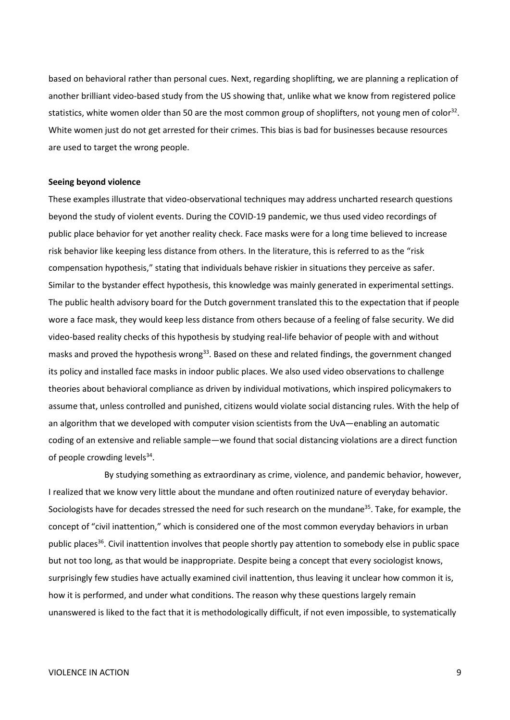based on behavioral rather than personal cues. Next, regarding shoplifting, we are planning a replication of another brilliant video-based study from the US showing that, unlike what we know from registered police statistics, white women older than 50 are the most common group of shoplifters, not young men of color<sup>32</sup>. White women just do not get arrested for their crimes. This bias is bad for businesses because resources are used to target the wrong people.

#### **Seeing beyond violence**

These examples illustrate that video-observational techniques may address uncharted research questions beyond the study of violent events. During the COVID-19 pandemic, we thus used video recordings of public place behavior for yet another reality check. Face masks were for a long time believed to increase risk behavior like keeping less distance from others. In the literature, this is referred to as the "risk compensation hypothesis," stating that individuals behave riskier in situations they perceive as safer. Similar to the bystander effect hypothesis, this knowledge was mainly generated in experimental settings. The public health advisory board for the Dutch government translated this to the expectation that if people wore a face mask, they would keep less distance from others because of a feeling of false security. We did video-based reality checks of this hypothesis by studying real-life behavior of people with and without masks and proved the hypothesis wrong<sup>33</sup>. Based on these and related findings, the government changed its policy and installed face masks in indoor public places. We also used video observations to challenge theories about behavioral compliance as driven by individual motivations, which inspired policymakers to assume that, unless controlled and punished, citizens would violate social distancing rules. With the help of an algorithm that we developed with computer vision scientists from the UvA—enabling an automatic coding of an extensive and reliable sample—we found that social distancing violations are a direct function of people crowding levels<sup>34</sup>.

By studying something as extraordinary as crime, violence, and pandemic behavior, however, I realized that we know very little about the mundane and often routinized nature of everyday behavior. Sociologists have for decades stressed the need for such research on the mundane<sup>35</sup>. Take, for example, the concept of "civil inattention," which is considered one of the most common everyday behaviors in urban public places<sup>36</sup>. Civil inattention involves that people shortly pay attention to somebody else in public space but not too long, as that would be inappropriate. Despite being a concept that every sociologist knows, surprisingly few studies have actually examined civil inattention, thus leaving it unclear how common it is, how it is performed, and under what conditions. The reason why these questions largely remain unanswered is liked to the fact that it is methodologically difficult, if not even impossible, to systematically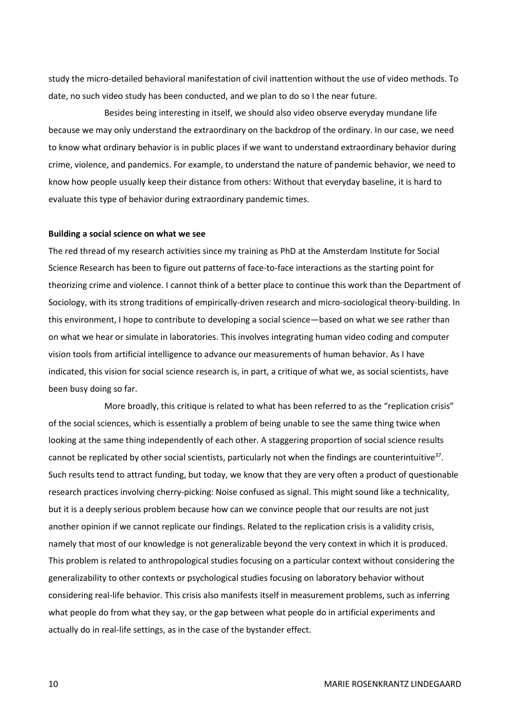study the micro-detailed behavioral manifestation of civil inattention without the use of video methods. To date, no such video study has been conducted, and we plan to do so I the near future.

Besides being interesting in itself, we should also video observe everyday mundane life because we may only understand the extraordinary on the backdrop of the ordinary. In our case, we need to know what ordinary behavior is in public places if we want to understand extraordinary behavior during crime, violence, and pandemics. For example, to understand the nature of pandemic behavior, we need to know how people usually keep their distance from others: Without that everyday baseline, it is hard to evaluate this type of behavior during extraordinary pandemic times.

#### **Building a social science on what we see**

The red thread of my research activities since my training as PhD at the Amsterdam Institute for Social Science Research has been to figure out patterns of face-to-face interactions as the starting point for theorizing crime and violence. I cannot think of a better place to continue this work than the Department of Sociology, with its strong traditions of empirically-driven research and micro-sociological theory-building. In this environment, I hope to contribute to developing a social science—based on what we see rather than on what we hear or simulate in laboratories. This involves integrating human video coding and computer vision tools from artificial intelligence to advance our measurements of human behavior. As I have indicated, this vision for social science research is, in part, a critique of what we, as social scientists, have been busy doing so far.

More broadly, this critique is related to what has been referred to as the "replication crisis" of the social sciences, which is essentially a problem of being unable to see the same thing twice when looking at the same thing independently of each other. A staggering proportion of social science results cannot be replicated by other social scientists, particularly not when the findings are counterintuitive<sup>37</sup>. Such results tend to attract funding, but today, we know that they are very often a product of questionable research practices involving cherry-picking: Noise confused as signal. This might sound like a technicality, but it is a deeply serious problem because how can we convince people that our results are not just another opinion if we cannot replicate our findings. Related to the replication crisis is a validity crisis, namely that most of our knowledge is not generalizable beyond the very context in which it is produced. This problem is related to anthropological studies focusing on a particular context without considering the generalizability to other contexts or psychological studies focusing on laboratory behavior without considering real-life behavior. This crisis also manifests itself in measurement problems, such as inferring what people do from what they say, or the gap between what people do in artificial experiments and actually do in real-life settings, as in the case of the bystander effect.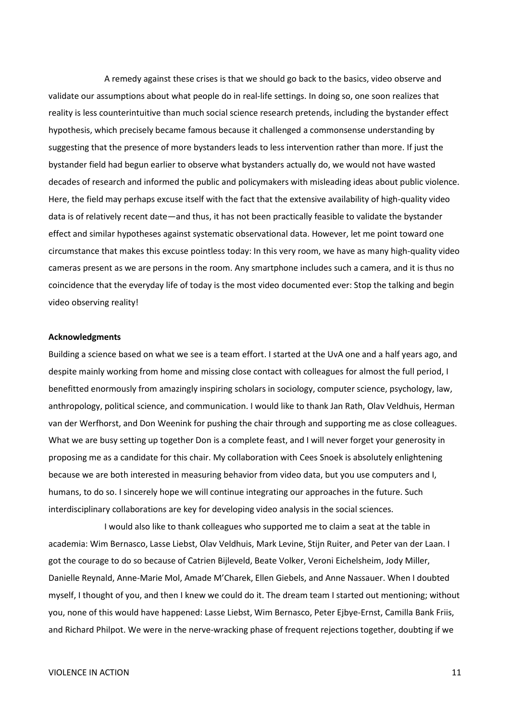A remedy against these crises is that we should go back to the basics, video observe and validate our assumptions about what people do in real-life settings. In doing so, one soon realizes that reality is less counterintuitive than much social science research pretends, including the bystander effect hypothesis, which precisely became famous because it challenged a commonsense understanding by suggesting that the presence of more bystanders leads to less intervention rather than more. If just the bystander field had begun earlier to observe what bystanders actually do, we would not have wasted decades of research and informed the public and policymakers with misleading ideas about public violence. Here, the field may perhaps excuse itself with the fact that the extensive availability of high-quality video data is of relatively recent date—and thus, it has not been practically feasible to validate the bystander effect and similar hypotheses against systematic observational data. However, let me point toward one circumstance that makes this excuse pointless today: In this very room, we have as many high-quality video cameras present as we are persons in the room. Any smartphone includes such a camera, and it is thus no coincidence that the everyday life of today is the most video documented ever: Stop the talking and begin video observing reality!

#### **Acknowledgments**

Building a science based on what we see is a team effort. I started at the UvA one and a half years ago, and despite mainly working from home and missing close contact with colleagues for almost the full period, I benefitted enormously from amazingly inspiring scholars in sociology, computer science, psychology, law, anthropology, political science, and communication. I would like to thank Jan Rath, Olav Veldhuis, Herman van der Werfhorst, and Don Weenink for pushing the chair through and supporting me as close colleagues. What we are busy setting up together Don is a complete feast, and I will never forget your generosity in proposing me as a candidate for this chair. My collaboration with Cees Snoek is absolutely enlightening because we are both interested in measuring behavior from video data, but you use computers and I, humans, to do so. I sincerely hope we will continue integrating our approaches in the future. Such interdisciplinary collaborations are key for developing video analysis in the social sciences.

I would also like to thank colleagues who supported me to claim a seat at the table in academia: Wim Bernasco, Lasse Liebst, Olav Veldhuis, Mark Levine, Stijn Ruiter, and Peter van der Laan. I got the courage to do so because of Catrien Bijleveld, Beate Volker, Veroni Eichelsheim, Jody Miller, Danielle Reynald, Anne-Marie Mol, Amade M'Charek, Ellen Giebels, and Anne Nassauer. When I doubted myself, I thought of you, and then I knew we could do it. The dream team I started out mentioning; without you, none of this would have happened: Lasse Liebst, Wim Bernasco, Peter Ejbye-Ernst, Camilla Bank Friis, and Richard Philpot. We were in the nerve-wracking phase of frequent rejections together, doubting if we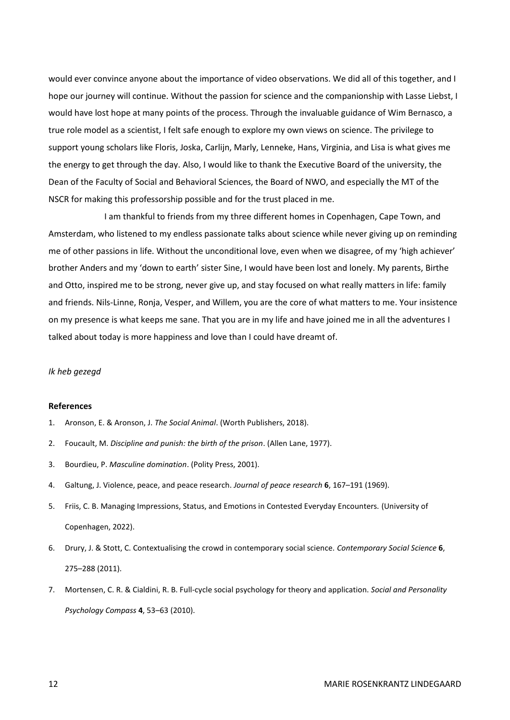would ever convince anyone about the importance of video observations. We did all of this together, and I hope our journey will continue. Without the passion for science and the companionship with Lasse Liebst, I would have lost hope at many points of the process. Through the invaluable guidance of Wim Bernasco, a true role model as a scientist, I felt safe enough to explore my own views on science. The privilege to support young scholars like Floris, Joska, Carlijn, Marly, Lenneke, Hans, Virginia, and Lisa is what gives me the energy to get through the day. Also, I would like to thank the Executive Board of the university, the Dean of the Faculty of Social and Behavioral Sciences, the Board of NWO, and especially the MT of the NSCR for making this professorship possible and for the trust placed in me.

I am thankful to friends from my three different homes in Copenhagen, Cape Town, and Amsterdam, who listened to my endless passionate talks about science while never giving up on reminding me of other passions in life. Without the unconditional love, even when we disagree, of my 'high achiever' brother Anders and my 'down to earth' sister Sine, I would have been lost and lonely. My parents, Birthe and Otto, inspired me to be strong, never give up, and stay focused on what really matters in life: family and friends. Nils-Linne, Ronja, Vesper, and Willem, you are the core of what matters to me. Your insistence on my presence is what keeps me sane. That you are in my life and have joined me in all the adventures I talked about today is more happiness and love than I could have dreamt of.

#### *Ik heb gezegd*

#### **References**

- 1. Aronson, E. & Aronson, J. *The Social Animal*. (Worth Publishers, 2018).
- 2. Foucault, M. *Discipline and punish: the birth of the prison*. (Allen Lane, 1977).
- 3. Bourdieu, P. *Masculine domination*. (Polity Press, 2001).
- 4. Galtung, J. Violence, peace, and peace research. *Journal of peace research* **6**, 167–191 (1969).
- 5. Friis, C. B. Managing Impressions, Status, and Emotions in Contested Everyday Encounters. (University of Copenhagen, 2022).
- 6. Drury, J. & Stott, C. Contextualising the crowd in contemporary social science. *Contemporary Social Science* **6**, 275–288 (2011).
- 7. Mortensen, C. R. & Cialdini, R. B. Full-cycle social psychology for theory and application. *Social and Personality Psychology Compass* **4**, 53–63 (2010).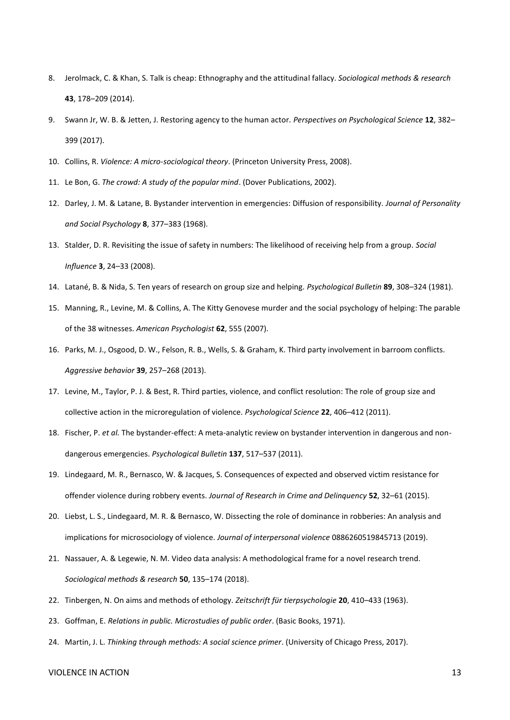- 8. Jerolmack, C. & Khan, S. Talk is cheap: Ethnography and the attitudinal fallacy. *Sociological methods & research* **43**, 178–209 (2014).
- 9. Swann Jr, W. B. & Jetten, J. Restoring agency to the human actor. *Perspectives on Psychological Science* **12**, 382– 399 (2017).
- 10. Collins, R. *Violence: A micro-sociological theory*. (Princeton University Press, 2008).
- 11. Le Bon, G. *The crowd: A study of the popular mind*. (Dover Publications, 2002).
- 12. Darley, J. M. & Latane, B. Bystander intervention in emergencies: Diffusion of responsibility. *Journal of Personality and Social Psychology* **8**, 377–383 (1968).
- 13. Stalder, D. R. Revisiting the issue of safety in numbers: The likelihood of receiving help from a group. *Social Influence* **3**, 24–33 (2008).
- 14. Latané, B. & Nida, S. Ten years of research on group size and helping. *Psychological Bulletin* **89**, 308–324 (1981).
- 15. Manning, R., Levine, M. & Collins, A. The Kitty Genovese murder and the social psychology of helping: The parable of the 38 witnesses. *American Psychologist* **62**, 555 (2007).
- 16. Parks, M. J., Osgood, D. W., Felson, R. B., Wells, S. & Graham, K. Third party involvement in barroom conflicts. *Aggressive behavior* **39**, 257–268 (2013).
- 17. Levine, M., Taylor, P. J. & Best, R. Third parties, violence, and conflict resolution: The role of group size and collective action in the microregulation of violence. *Psychological Science* **22**, 406–412 (2011).
- 18. Fischer, P. *et al.* The bystander-effect: A meta-analytic review on bystander intervention in dangerous and nondangerous emergencies. *Psychological Bulletin* **137**, 517–537 (2011).
- 19. Lindegaard, M. R., Bernasco, W. & Jacques, S. Consequences of expected and observed victim resistance for offender violence during robbery events. *Journal of Research in Crime and Delinquency* **52**, 32–61 (2015).
- 20. Liebst, L. S., Lindegaard, M. R. & Bernasco, W. Dissecting the role of dominance in robberies: An analysis and implications for microsociology of violence. *Journal of interpersonal violence* 0886260519845713 (2019).
- 21. Nassauer, A. & Legewie, N. M. Video data analysis: A methodological frame for a novel research trend. *Sociological methods & research* **50**, 135–174 (2018).
- 22. Tinbergen, N. On aims and methods of ethology. *Zeitschrift für tierpsychologie* **20**, 410–433 (1963).
- 23. Goffman, E. *Relations in public. Microstudies of public order*. (Basic Books, 1971).
- 24. Martin, J. L. *Thinking through methods: A social science primer*. (University of Chicago Press, 2017).

#### VIOLENCE IN ACTION 13